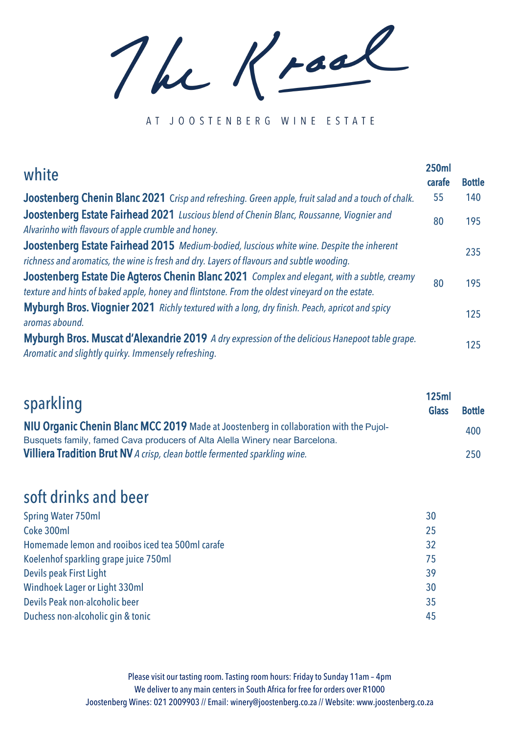The Kraal

AT JOOSTENBERG WINE ESTATE

| white                                                                                                                                                                                          | <b>250ml</b><br>carafe | <b>Bottle</b> |
|------------------------------------------------------------------------------------------------------------------------------------------------------------------------------------------------|------------------------|---------------|
| Joostenberg Chenin Blanc 2021 Crisp and refreshing. Green apple, fruit salad and a touch of chalk.                                                                                             | 55                     | 140           |
| Joostenberg Estate Fairhead 2021 Luscious blend of Chenin Blanc, Roussanne, Viognier and<br>Alvarinho with flavours of apple crumble and honey.                                                | 80                     | 195           |
| Joostenberg Estate Fairhead 2015 Medium-bodied, Iuscious white wine. Despite the inherent<br>richness and aromatics, the wine is fresh and dry. Layers of flavours and subtle wooding.         |                        | 235           |
| Joostenberg Estate Die Agteros Chenin Blanc 2021 Complex and elegant, with a subtle, creamy<br>texture and hints of baked apple, honey and flintstone. From the oldest vineyard on the estate. | 80                     | 195           |
| Myburgh Bros. Viognier 2021 Richly textured with a long, dry finish. Peach, apricot and spicy<br>aromas abound.                                                                                |                        | 125           |
| Myburgh Bros. Muscat d'Alexandrie 2019 A dry expression of the delicious Hanepoot table grape.<br>Aromatic and slightly quirky. Immensely refreshing.                                          |                        | 125           |

| sparkling                                                                              | 125ml<br><b>Glass</b> | <b>Bottle</b> |  |
|----------------------------------------------------------------------------------------|-----------------------|---------------|--|
| NIU Organic Chenin Blanc MCC 2019 Made at Joostenberg in collaboration with the Pujol- |                       | 400           |  |
| Busquets family, famed Cava producers of Alta Alella Winery near Barcelona.            |                       |               |  |
| Villiera Tradition Brut NV A crisp, clean bottle fermented sparkling wine.             |                       | 250           |  |

## soft drinks and beer

| <b>Spring Water 750ml</b>                        | 30 |
|--------------------------------------------------|----|
| Coke 300ml                                       | 25 |
| Homemade lemon and rooibos iced tea 500ml carafe | 32 |
| Koelenhof sparkling grape juice 750ml            | 75 |
| Devils peak First Light                          | 39 |
| <b>Windhoek Lager or Light 330ml</b>             | 30 |
| Devils Peak non-alcoholic beer                   | 35 |
| Duchess non-alcoholic gin & tonic                | 45 |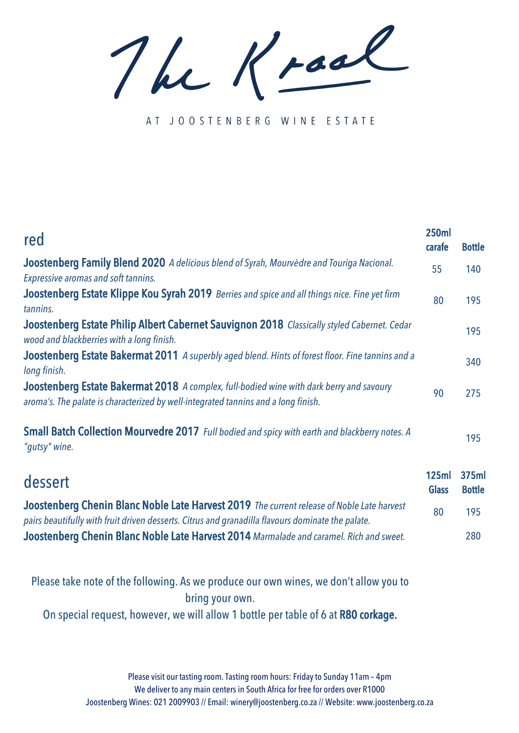The Kraal

AT JOOSTENBERG WINE ESTATE

| red                                                                                                                                                                                             | <b>250ml</b><br>carafe       | <b>Bottle</b>          |
|-------------------------------------------------------------------------------------------------------------------------------------------------------------------------------------------------|------------------------------|------------------------|
| Joostenberg Family Blend 2020 A delicious blend of Syrah, Mourvèdre and Touriga Nacional.<br><b>Expressive aromas and soft tannins.</b>                                                         | 55                           | 140                    |
| Joostenberg Estate Klippe Kou Syrah 2019 Berries and spice and all things nice. Fine yet firm<br>tannins.                                                                                       | 80                           | 195                    |
| Joostenberg Estate Philip Albert Cabernet Sauvignon 2018 Classically styled Cabernet. Cedar<br>wood and blackberries with a long finish.                                                        |                              | 195                    |
| Joostenberg Estate Bakermat 2011 A superbly aged blend. Hints of forest floor. Fine tannins and a<br>long finish.                                                                               |                              | 340                    |
| Joostenberg Estate Bakermat 2018 A complex, full-bodied wine with dark berry and savoury<br>aroma's. The palate is characterized by well-integrated tannins and a long finish.                  | 90                           | 275                    |
| Small Batch Collection Mourvedre 2017 Full bodied and spicy with earth and blackberry notes. A<br>"gutsy" wine.                                                                                 |                              | 195                    |
| dessert                                                                                                                                                                                         | <b>125ml</b><br><b>Glass</b> | 375ml<br><b>Bottle</b> |
| Joostenberg Chenin Blanc Noble Late Harvest 2019 The current release of Noble Late harvest<br>pairs beautifully with fruit driven desserts. Citrus and granadilla flavours dominate the palate. | 80                           | 195                    |
| Joostenberg Chenin Blanc Noble Late Harvest 2014 Marmalade and caramel. Rich and sweet.                                                                                                         |                              | 280                    |

Please take note of the following. As we produce our own wines, we don't allow you to bring your own. On special request, however, we will allow 1 bottle per table of 6 at R80 corkage.